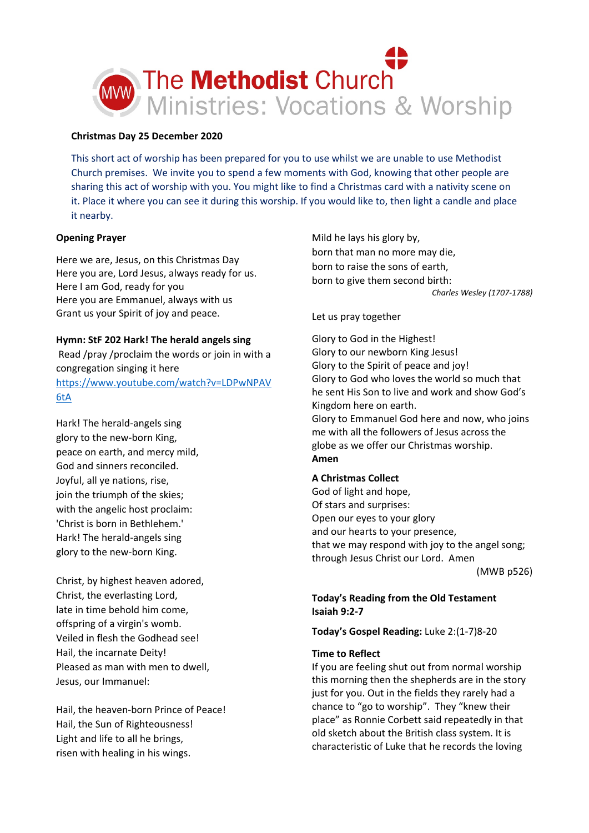

## **Christmas Day 25 December 2020**

This short act of worship has been prepared for you to use whilst we are unable to use Methodist Church premises. We invite you to spend a few moments with God, knowing that other people are sharing this act of worship with you. You might like to find a Christmas card with a nativity scene on it. Place it where you can see it during this worship. If you would like to, then light a candle and place it nearby.

## **Opening Prayer**

Here we are, Jesus, on this Christmas Day Here you are, Lord Jesus, always ready for us. Here I am God, ready for you Here you are Emmanuel, always with us Grant us your Spirit of joy and peace.

# **Hymn: StF 202 Hark! The herald angels sing**

Read /pray /proclaim the words or join in with a congregation singing it here [https://www.youtube.com/watch?v=LDPwNPAV](https://www.youtube.com/watch?v=LDPwNPAV6tA) [6tA](https://www.youtube.com/watch?v=LDPwNPAV6tA)

Hark! The herald-angels sing glory to the new-born King, peace on earth, and mercy mild, God and sinners reconciled. Joyful, all ye nations, rise, join the triumph of the skies; with the angelic host proclaim: 'Christ is born in Bethlehem.' Hark! The herald-angels sing glory to the new-born King.

Christ, by highest heaven adored, Christ, the everlasting Lord, late in time behold him come, offspring of a virgin's womb. Veiled in flesh the Godhead see! Hail, the incarnate Deity! Pleased as man with men to dwell, Jesus, our Immanuel:

Hail, the heaven-born Prince of Peace! Hail, the Sun of Righteousness! Light and life to all he brings, risen with healing in his wings.

Mild he lays his glory by, born that man no more may die, born to raise the sons of earth, born to give them second birth: *Charles Wesley (1707-1788)*

### Let us pray together

Glory to God in the Highest! Glory to our newborn King Jesus! Glory to the Spirit of peace and joy! Glory to God who loves the world so much that he sent His Son to live and work and show God's Kingdom here on earth. Glory to Emmanuel God here and now, who joins me with all the followers of Jesus across the globe as we offer our Christmas worship. **Amen**

### **A Christmas Collect**

God of light and hope, Of stars and surprises: Open our eyes to your glory and our hearts to your presence, that we may respond with joy to the angel song; through Jesus Christ our Lord. Amen (MWB p526)

# **Today's Reading from the Old Testament Isaiah 9:2-7**

**Today's Gospel Reading:** Luke 2:(1-7)8-20

### **Time to Reflect**

If you are feeling shut out from normal worship this morning then the shepherds are in the story just for you. Out in the fields they rarely had a chance to "go to worship". They "knew their place" as Ronnie Corbett said repeatedly in that old sketch about the British class system. It is characteristic of Luke that he records the loving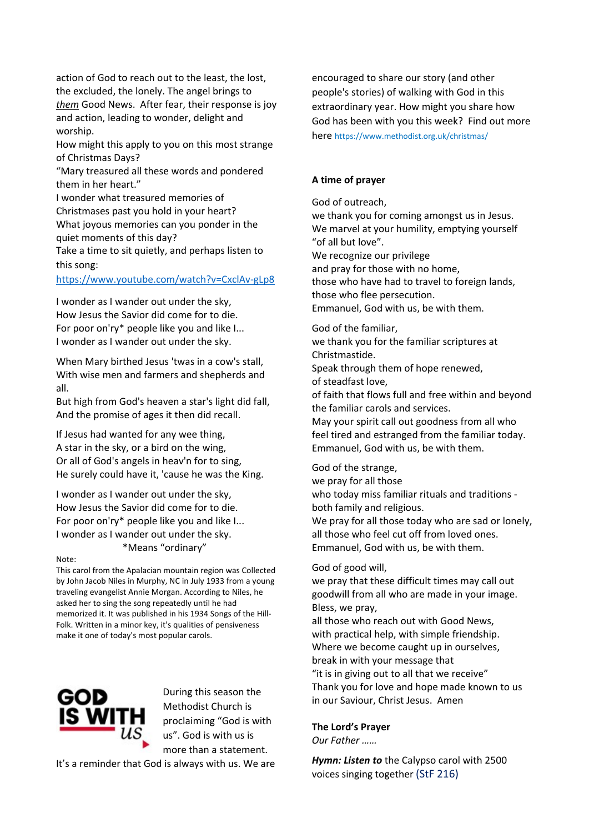action of God to reach out to the least, the lost, the excluded, the lonely. The angel brings to *them* Good News. After fear, their response is joy and action, leading to wonder, delight and worship.

How might this apply to you on this most strange of Christmas Days?

"Mary treasured all these words and pondered them in her heart."

I wonder what treasured memories of Christmases past you hold in your heart? What joyous memories can you ponder in the quiet moments of this day?

Take a time to sit quietly, and perhaps listen to this song:

### <https://www.youtube.com/watch?v=CxclAv-gLp8>

I wonder as I wander out under the sky, How Jesus the Savior did come for to die. For poor on'ry\* people like you and like I... I wonder as I wander out under the sky.

When Mary birthed Jesus 'twas in a cow's stall, With wise men and farmers and shepherds and all.

But high from God's heaven a star's light did fall, And the promise of ages it then did recall.

If Jesus had wanted for any wee thing, A star in the sky, or a bird on the wing, Or all of God's angels in heav'n for to sing, He surely could have it, 'cause he was the King.

I wonder as I wander out under the sky, How Jesus the Savior did come for to die. For poor on'ry\* people like you and like I... I wonder as I wander out under the sky. \*Means "ordinary"

#### Note:

This carol from the Apalacian mountain region was Collected by John Jacob Niles in Murphy, NC in July 1933 from a young traveling evangelist Annie Morgan. According to Niles, he asked her to sing the song repeatedly until he had memorized it. It was published in his 1934 Songs of the Hill-Folk. Written in a minor key, it's qualities of pensiveness make it one of today's most popular carols.



During this season the Methodist Church is proclaiming "God is with us". God is with us is more than a statement.

It's a reminder that God is always with us. We are

encouraged to share our story (and other people's stories) of walking with God in this extraordinary year. How might you share how God has been with you this week? Find out more here https://www.methodist.org.uk/christmas/

## **A time of prayer**

God of outreach,

we thank you for coming amongst us in Jesus. We marvel at your humility, emptying yourself "of all but love". We recognize our privilege and pray for those with no home,

those who have had to travel to foreign lands,

those who flee persecution.

Emmanuel, God with us, be with them.

God of the familiar,

we thank you for the familiar scriptures at Christmastide.

Speak through them of hope renewed, of steadfast love,

of faith that flows full and free within and beyond the familiar carols and services.

May your spirit call out goodness from all who feel tired and estranged from the familiar today. Emmanuel, God with us, be with them.

God of the strange,

we pray for all those

who today miss familiar rituals and traditions both family and religious.

We pray for all those today who are sad or lonely, all those who feel cut off from loved ones. Emmanuel, God with us, be with them.

### God of good will,

we pray that these difficult times may call out goodwill from all who are made in your image. Bless, we pray,

all those who reach out with Good News, with practical help, with simple friendship. Where we become caught up in ourselves, break in with your message that "it is in giving out to all that we receive" Thank you for love and hope made known to us in our Saviour, Christ Jesus. Amen

# **The Lord's Prayer**

*Our Father ……*

*Hymn: Listen to* the Calypso carol with 2500 voices singing together (StF 216)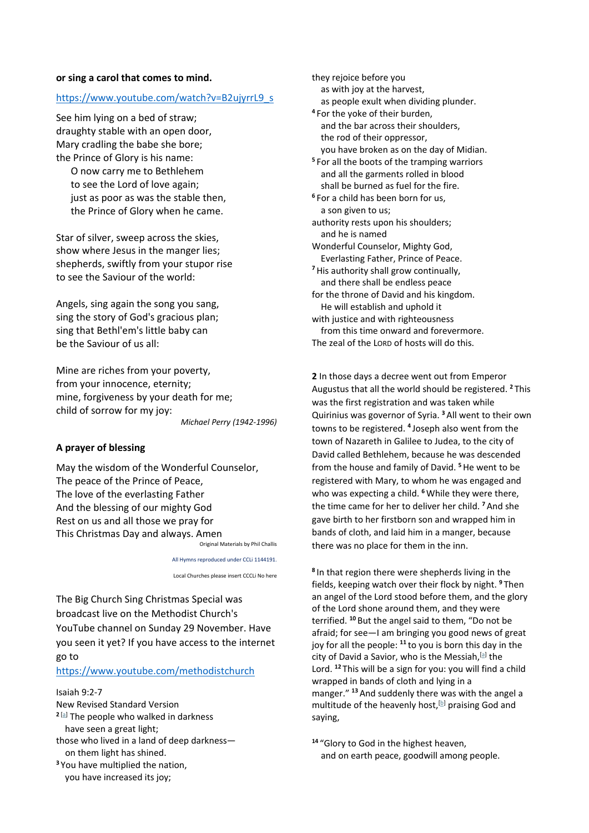### **or sing a carol that comes to mind.**

### [https://www.youtube.com/watch?v=B2ujyrrL9\\_s](https://www.youtube.com/watch?v=B2ujyrrL9_s)

See him lying on a bed of straw; draughty stable with an open door, Mary cradling the babe she bore; the Prince of Glory is his name:

 O now carry me to Bethlehem to see the Lord of love again; just as poor as was the stable then, the Prince of Glory when he came.

Star of silver, sweep across the skies, show where Jesus in the manger lies; shepherds, swiftly from your stupor rise to see the Saviour of the world:

Angels, sing again the song you sang, sing the story of God's gracious plan; sing that Bethl'em's little baby can be the Saviour of us all:

Mine are riches from your poverty, from your innocence, eternity; mine, forgiveness by your death for me; child of sorrow for my joy: *Michael Perry (1942-1996)*

### **A prayer of blessing**

May the wisdom of the Wonderful Counselor, The peace of the Prince of Peace, The love of the everlasting Father And the blessing of our mighty God Rest on us and all those we pray for This Christmas Day and always. Amen Original Materials by Phil Challis

All Hymns reproduced under CCLi 1144191.

Local Churches please insert CCCLi No here

The Big Church Sing Christmas Special was broadcast live on the Methodist Church's YouTube channel on Sunday 29 November. Have you seen it yet? If you have access to the internet go to

<https://www.youtube.com/methodistchurch>

Isaiah 9:2-7 New Revised Standard Version **<sup>2</sup>** [\[a\]](https://www.biblegateway.com/passage/?search=Isaiah%209%3A2-7&version=NRSV#fen-NRSV-17832a) The people who walked in darkness have seen a great light; those who lived in a land of deep darkness on them light has shined. **<sup>3</sup>** You have multiplied the nation,

 as with joy at the harvest, as people exult when dividing plunder. **<sup>4</sup>** For the yoke of their burden, and the bar across their shoulders, the rod of their oppressor, you have broken as on the day of Midian. **<sup>5</sup>** For all the boots of the tramping warriors and all the garments rolled in blood shall be burned as fuel for the fire. **<sup>6</sup>** For a child has been born for us, a son given to us; authority rests upon his shoulders; and he is named Wonderful Counselor, Mighty God, Everlasting Father, Prince of Peace. **<sup>7</sup>**His authority shall grow continually, and there shall be endless peace for the throne of David and his kingdom. He will establish and uphold it with justice and with righteousness from this time onward and forevermore. The zeal of the LORD of hosts will do this.

they rejoice before you

**2** In those days a decree went out from Emperor Augustus that all the world should be registered. **<sup>2</sup>** This was the first registration and was taken while Quirinius was governor of Syria. **<sup>3</sup>** All went to their own towns to be registered. **<sup>4</sup>** Joseph also went from the town of Nazareth in Galilee to Judea, to the city of David called Bethlehem, because he was descended from the house and family of David. **<sup>5</sup>**He went to be registered with Mary, to whom he was engaged and who was expecting a child. **<sup>6</sup>**While they were there, the time came for her to deliver her child. **<sup>7</sup>** And she gave birth to her firstborn son and wrapped him in bands of cloth, and laid him in a manger, because there was no place for them in the inn.

**<sup>8</sup>** In that region there were shepherds living in the fields, keeping watch over their flock by night. **<sup>9</sup>** Then an angel of the Lord stood before them, and the glory of the Lord shone around them, and they were terrified. **<sup>10</sup>** But the angel said to them, "Do not be afraid; for see—I am bringing you good news of great joy for all the people: **<sup>11</sup>** to you is born this day in the city of David a Savior, who is the Messiah, $[$ a] the Lord. **<sup>12</sup>** This will be a sign for you: you will find a child wrapped in bands of cloth and lying in a manger." **<sup>13</sup>** And suddenly there was with the angel a multitude of the heavenly host, $[b]$  praising God and saying,

**<sup>14</sup>** "Glory to God in the highest heaven, and on earth peace, goodwill among people.

you have increased its joy;